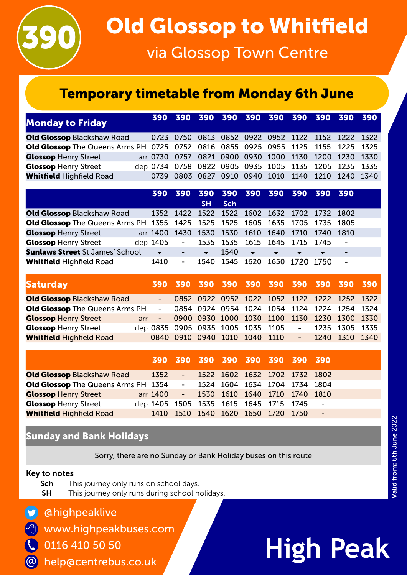

## Temporary timetable from Monday 6th June

| <b>Monday to Friday</b>                                                                 |                                                       |  |  |                                                   |  |  |
|-----------------------------------------------------------------------------------------|-------------------------------------------------------|--|--|---------------------------------------------------|--|--|
| <b>Old Glossop Blackshaw Road</b>                                                       | 0723 0750 0813 0852 0922 0952 1122 1152 1222 1322     |  |  |                                                   |  |  |
| <b>Old Glossop</b> The Queens Arms PH 0725 0752 0816 0855 0925 0955 1125 1155 1225 1325 |                                                       |  |  |                                                   |  |  |
| <b>Glossop Henry Street</b>                                                             | arr 0730 0757 0821 0900 0930 1000 1130 1200 1230 1330 |  |  |                                                   |  |  |
| <b>Glossop Henry Street</b>                                                             | dep 0734 0758 0822 0905 0935 1005 1135 1205 1235 1335 |  |  |                                                   |  |  |
| <b>Whitfield Highfield Road</b>                                                         |                                                       |  |  | 0739 0803 0827 0910 0940 1010 1140 1210 1240 1340 |  |  |

|                                                                                    |                                                  | 390 390 390 390 390 390 390 390 390          |                      |            |                          |              |                               |                          |                          |  |
|------------------------------------------------------------------------------------|--------------------------------------------------|----------------------------------------------|----------------------|------------|--------------------------|--------------|-------------------------------|--------------------------|--------------------------|--|
|                                                                                    |                                                  |                                              | <b>SH</b>            | <b>Sch</b> |                          |              |                               |                          |                          |  |
| <b>Old Glossop</b> Blackshaw Road                                                  |                                                  | 1352 1422 1522 1522 1602 1632 1702 1732 1802 |                      |            |                          |              |                               |                          |                          |  |
| <b>Old Glossop</b> The Queens Arms PH 1355 1425 1525 1525 1605 1635 1705 1735 1805 |                                                  |                                              |                      |            |                          |              |                               |                          |                          |  |
| <b>Glossop Henry Street</b>                                                        | arr 1400 1430 1530 1530 1610 1640 1710 1740 1810 |                                              |                      |            |                          |              |                               |                          |                          |  |
| <b>Glossop Henry Street</b>                                                        | dep 1405 - 1535 1535 1615 1645 1715 1745 -       |                                              |                      |            |                          |              |                               |                          |                          |  |
| <b>Sunlaws Street St James' School</b>                                             |                                                  |                                              | $\blacktriangledown$ | 1540       | $\overline{\phantom{a}}$ | $\mathbf{v}$ | $\overline{\phantom{a}}$      | $\overline{\phantom{a}}$ | $\overline{\phantom{a}}$ |  |
| <b>Whitfield Highfield Road</b>                                                    | 1410                                             | $\sim 100$                                   |                      |            |                          |              | 1540 1545 1620 1650 1720 1750 |                          | $\blacksquare$           |  |

| <b>Saturday</b>                       |     |  |  |                               | 390 390 390 390 390 390 390 390 390 390        |        |                    |  |
|---------------------------------------|-----|--|--|-------------------------------|------------------------------------------------|--------|--------------------|--|
| <b>Old Glossop Blackshaw Road</b>     |     |  |  |                               | 0852 0922 0952 1022 1052 1122 1222 1252 1322   |        |                    |  |
| <b>Old Glossop</b> The Queens Arms PH |     |  |  |                               | - 0854 0924 0954 1024 1054 1124 1224 1254 1324 |        |                    |  |
| <b>Glossop Henry Street</b>           | arr |  |  |                               | - 0900 0930 1000 1030 1100 1130 1230 1300 1330 |        |                    |  |
| <b>Glossop Henry Street</b>           |     |  |  |                               | dep 0835 0905 0935 1005 1035 1105              | $\sim$ | 1235 1305 1335     |  |
| <b>Whitfield Highfield Road</b>       |     |  |  | 0840 0910 0940 1010 1040 1110 |                                                |        | $-$ 1240 1310 1340 |  |

|                                              |                                        |                | 390 390 390 390 390 390 390 390    |  |                          |  |
|----------------------------------------------|----------------------------------------|----------------|------------------------------------|--|--------------------------|--|
| <b>Old Glossop Blackshaw Road</b>            | 1352                                   | $\blacksquare$ | 1522 1602 1632 1702 1732 1802      |  |                          |  |
| <b>Old Glossop</b> The Queens Arms PH 1354 - |                                        |                | 1524 1604 1634 1704 1734 1804      |  |                          |  |
| <b>Glossop Henry Street</b>                  | arr 1400                               |                | - 1530 1610 1640 1710 1740 1810    |  |                          |  |
| <b>Glossop Henry Street</b>                  | dep 1405 1505 1535 1615 1645 1715 1745 |                |                                    |  | $\overline{\phantom{0}}$ |  |
| <b>Whitfield Highfield Road</b>              |                                        |                | 1410 1510 1540 1620 1650 1720 1750 |  | $\overline{\phantom{a}}$ |  |

### Sunday and Bank Holidays

Sorry, there are no Sunday or Bank Holiday buses on this route

#### Key to notes

 $\Theta$ 

@

- Sch This journey only runs on school days.
- **SH** This journey only runs during school holidays.
- @highpeaklive
- www.highpeakbuses.com
- 0116 410 50 50  $\mathbf C$ 
	- help@centrebus.co.uk

# **High Peak**